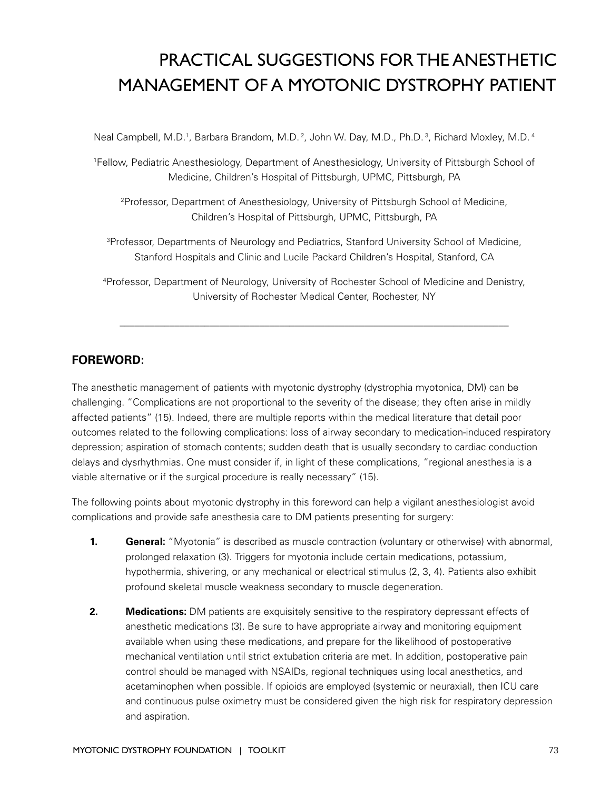# PRACTICAL SUGGESTIONS FOR THE ANESTHETIC MANAGEMENT OF A MYOTONIC DYSTROPHY PATIENT

Neal Campbell, M.D.<sup>1</sup>, Barbara Brandom, M.D.<sup>2</sup>, John W. Day, M.D., Ph.D.<sup>3</sup>, Richard Moxley, M.D.<sup>4</sup>

1 Fellow, Pediatric Anesthesiology, Department of Anesthesiology, University of Pittsburgh School of Medicine, Children's Hospital of Pittsburgh, UPMC, Pittsburgh, PA

2 Professor, Department of Anesthesiology, University of Pittsburgh School of Medicine, Children's Hospital of Pittsburgh, UPMC, Pittsburgh, PA

<sup>3</sup>Professor, Departments of Neurology and Pediatrics, Stanford University School of Medicine, Stanford Hospitals and Clinic and Lucile Packard Children's Hospital, Stanford, CA

4 Professor, Department of Neurology, University of Rochester School of Medicine and Denistry, University of Rochester Medical Center, Rochester, NY

**\_\_\_\_\_\_\_\_\_\_\_\_\_\_\_\_\_\_\_\_\_\_\_\_\_\_\_\_\_\_\_\_\_\_\_\_\_\_\_\_\_\_\_\_\_\_\_\_\_\_\_\_\_\_\_\_\_\_\_\_\_\_\_\_\_\_\_\_\_\_\_\_\_\_\_\_\_\_**

# **FOREWORD:**

The anesthetic management of patients with myotonic dystrophy (dystrophia myotonica, DM) can be challenging. "Complications are not proportional to the severity of the disease; they often arise in mildly affected patients" (15). Indeed, there are multiple reports within the medical literature that detail poor outcomes related to the following complications: loss of airway secondary to medication-induced respiratory depression; aspiration of stomach contents; sudden death that is usually secondary to cardiac conduction delays and dysrhythmias. One must consider if, in light of these complications, "regional anesthesia is a viable alternative or if the surgical procedure is really necessary" (15).

The following points about myotonic dystrophy in this foreword can help a vigilant anesthesiologist avoid complications and provide safe anesthesia care to DM patients presenting for surgery:

- **1. General:** "Myotonia" is described as muscle contraction (voluntary or otherwise) with abnormal, prolonged relaxation (3). Triggers for myotonia include certain medications, potassium, hypothermia, shivering, or any mechanical or electrical stimulus (2, 3, 4). Patients also exhibit profound skeletal muscle weakness secondary to muscle degeneration.
- **2. Medications:** DM patients are exquisitely sensitive to the respiratory depressant effects of anesthetic medications (3). Be sure to have appropriate airway and monitoring equipment available when using these medications, and prepare for the likelihood of postoperative mechanical ventilation until strict extubation criteria are met. In addition, postoperative pain control should be managed with NSAIDs, regional techniques using local anesthetics, and acetaminophen when possible. If opioids are employed (systemic or neuraxial), then ICU care and continuous pulse oximetry must be considered given the high risk for respiratory depression and aspiration.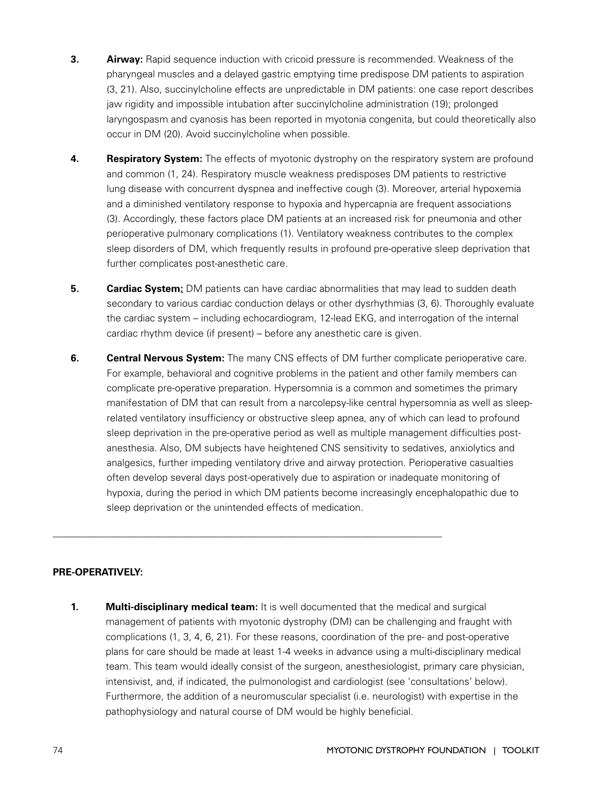- **3. Airway:** Rapid sequence induction with cricoid pressure is recommended. Weakness of the pharyngeal muscles and a delayed gastric emptying time predispose DM patients to aspiration (3, 21). Also, succinylcholine effects are unpredictable in DM patients: one case report describes jaw rigidity and impossible intubation after succinylcholine administration (19); prolonged laryngospasm and cyanosis has been reported in myotonia congenita, but could theoretically also occur in DM (20). Avoid succinylcholine when possible.
- **4. Respiratory System:** The effects of myotonic dystrophy on the respiratory system are profound and common (1, 24). Respiratory muscle weakness predisposes DM patients to restrictive lung disease with concurrent dyspnea and ineffective cough (3). Moreover, arterial hypoxemia and a diminished ventilatory response to hypoxia and hypercapnia are frequent associations (3). Accordingly, these factors place DM patients at an increased risk for pneumonia and other perioperative pulmonary complications (1). Ventilatory weakness contributes to the complex sleep disorders of DM, which frequently results in profound pre-operative sleep deprivation that further complicates post-anesthetic care.
- **5. Cardiac System:** DM patients can have cardiac abnormalities that may lead to sudden death secondary to various cardiac conduction delays or other dysrhythmias (3, 6). Thoroughly evaluate the cardiac system – including echocardiogram, 12-lead EKG, and interrogation of the internal cardiac rhythm device (if present) – before any anesthetic care is given.
- **6. Central Nervous System:** The many CNS effects of DM further complicate perioperative care. For example, behavioral and cognitive problems in the patient and other family members can complicate pre-operative preparation. Hypersomnia is a common and sometimes the primary manifestation of DM that can result from a narcolepsy-like central hypersomnia as well as sleeprelated ventilatory insufficiency or obstructive sleep apnea, any of which can lead to profound sleep deprivation in the pre-operative period as well as multiple management difficulties postanesthesia. Also, DM subjects have heightened CNS sensitivity to sedatives, anxiolytics and analgesics, further impeding ventilatory drive and airway protection. Perioperative casualties often develop several days post-operatively due to aspiration or inadequate monitoring of hypoxia, during the period in which DM patients become increasingly encephalopathic due to sleep deprivation or the unintended effects of medication.

**\_\_\_\_\_\_\_\_\_\_\_\_\_\_\_\_\_\_\_\_\_\_\_\_\_\_\_\_\_\_\_\_\_\_\_\_\_\_\_\_\_\_\_\_\_\_\_\_\_\_\_\_\_\_\_\_\_\_\_\_\_\_\_\_\_\_\_\_\_\_\_\_\_\_\_\_\_\_**

# **PRE-OPERATIVELY:**

**1. Multi-disciplinary medical team:** It is well documented that the medical and surgical management of patients with myotonic dystrophy (DM) can be challenging and fraught with complications (1, 3, 4, 6, 21). For these reasons, coordination of the pre- and post-operative plans for care should be made at least 1-4 weeks in advance using a multi-disciplinary medical team. This team would ideally consist of the surgeon, anesthesiologist, primary care physician, intensivist, and, if indicated, the pulmonologist and cardiologist (see 'consultations' below). Furthermore, the addition of a neuromuscular specialist (i.e. neurologist) with expertise in the pathophysiology and natural course of DM would be highly beneficial.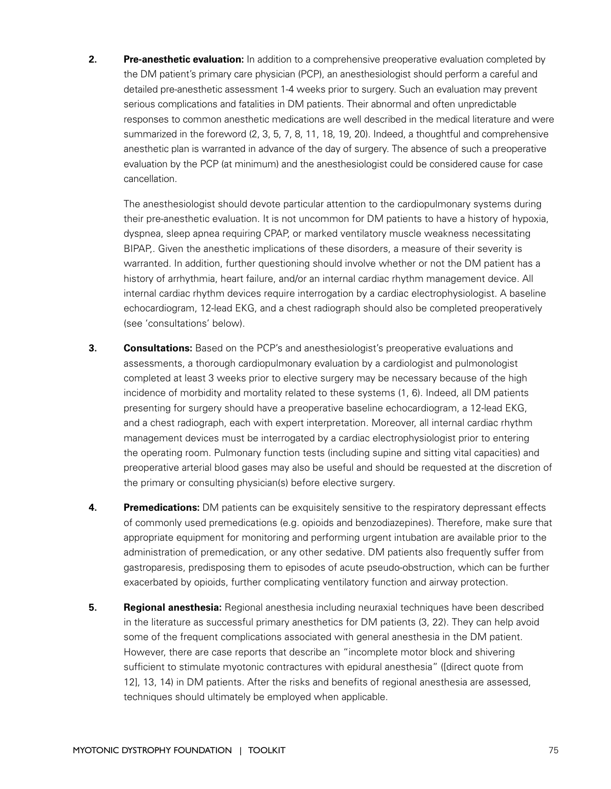**2. Pre-anesthetic evaluation:** In addition to a comprehensive preoperative evaluation completed by the DM patient's primary care physician (PCP), an anesthesiologist should perform a careful and detailed pre-anesthetic assessment 1-4 weeks prior to surgery. Such an evaluation may prevent serious complications and fatalities in DM patients. Their abnormal and often unpredictable responses to common anesthetic medications are well described in the medical literature and were summarized in the foreword (2, 3, 5, 7, 8, 11, 18, 19, 20). Indeed, a thoughtful and comprehensive anesthetic plan is warranted in advance of the day of surgery. The absence of such a preoperative evaluation by the PCP (at minimum) and the anesthesiologist could be considered cause for case cancellation.

The anesthesiologist should devote particular attention to the cardiopulmonary systems during their pre-anesthetic evaluation. It is not uncommon for DM patients to have a history of hypoxia, dyspnea, sleep apnea requiring CPAP, or marked ventilatory muscle weakness necessitating BIPAP,. Given the anesthetic implications of these disorders, a measure of their severity is warranted. In addition, further questioning should involve whether or not the DM patient has a history of arrhythmia, heart failure, and/or an internal cardiac rhythm management device. All internal cardiac rhythm devices require interrogation by a cardiac electrophysiologist. A baseline echocardiogram, 12-lead EKG, and a chest radiograph should also be completed preoperatively (see 'consultations' below).

- **3. Consultations:** Based on the PCP's and anesthesiologist's preoperative evaluations and assessments, a thorough cardiopulmonary evaluation by a cardiologist and pulmonologist completed at least 3 weeks prior to elective surgery may be necessary because of the high incidence of morbidity and mortality related to these systems (1, 6). Indeed, all DM patients presenting for surgery should have a preoperative baseline echocardiogram, a 12-lead EKG, and a chest radiograph, each with expert interpretation. Moreover, all internal cardiac rhythm management devices must be interrogated by a cardiac electrophysiologist prior to entering the operating room. Pulmonary function tests (including supine and sitting vital capacities) and preoperative arterial blood gases may also be useful and should be requested at the discretion of the primary or consulting physician(s) before elective surgery.
- **4. Premedications:** DM patients can be exquisitely sensitive to the respiratory depressant effects of commonly used premedications (e.g. opioids and benzodiazepines). Therefore, make sure that appropriate equipment for monitoring and performing urgent intubation are available prior to the administration of premedication, or any other sedative. DM patients also frequently suffer from gastroparesis, predisposing them to episodes of acute pseudo-obstruction, which can be further exacerbated by opioids, further complicating ventilatory function and airway protection.
- **5. Regional anesthesia:** Regional anesthesia including neuraxial techniques have been described in the literature as successful primary anesthetics for DM patients (3, 22). They can help avoid some of the frequent complications associated with general anesthesia in the DM patient. However, there are case reports that describe an "incomplete motor block and shivering sufficient to stimulate myotonic contractures with epidural anesthesia" ([direct quote from 12], 13, 14) in DM patients. After the risks and benefits of regional anesthesia are assessed, techniques should ultimately be employed when applicable.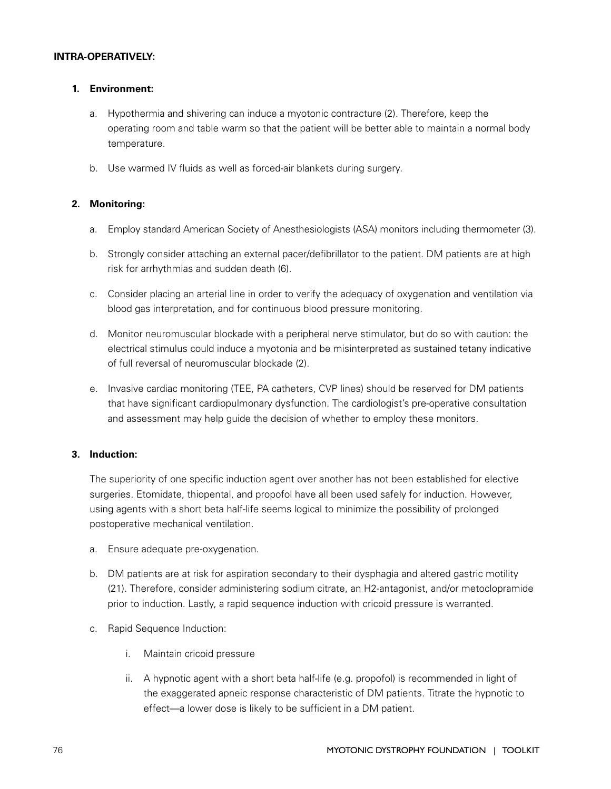# **INTRA-OPERATIVELY:**

# **1. Environment:**

- a. Hypothermia and shivering can induce a myotonic contracture (2). Therefore, keep the operating room and table warm so that the patient will be better able to maintain a normal body temperature.
- b. Use warmed IV fluids as well as forced-air blankets during surgery.

# **2. Monitoring:**

- a. Employ standard American Society of Anesthesiologists (ASA) monitors including thermometer (3).
- b. Strongly consider attaching an external pacer/defibrillator to the patient. DM patients are at high risk for arrhythmias and sudden death (6).
- c. Consider placing an arterial line in order to verify the adequacy of oxygenation and ventilation via blood gas interpretation, and for continuous blood pressure monitoring.
- d. Monitor neuromuscular blockade with a peripheral nerve stimulator, but do so with caution: the electrical stimulus could induce a myotonia and be misinterpreted as sustained tetany indicative of full reversal of neuromuscular blockade (2).
- e. Invasive cardiac monitoring (TEE, PA catheters, CVP lines) should be reserved for DM patients that have significant cardiopulmonary dysfunction. The cardiologist's pre-operative consultation and assessment may help guide the decision of whether to employ these monitors.

# **3. Induction:**

The superiority of one specific induction agent over another has not been established for elective surgeries. Etomidate, thiopental, and propofol have all been used safely for induction. However, using agents with a short beta half-life seems logical to minimize the possibility of prolonged postoperative mechanical ventilation.

- a. Ensure adequate pre-oxygenation.
- b. DM patients are at risk for aspiration secondary to their dysphagia and altered gastric motility (21). Therefore, consider administering sodium citrate, an H2-antagonist, and/or metoclopramide prior to induction. Lastly, a rapid sequence induction with cricoid pressure is warranted.
- c. Rapid Sequence Induction:
	- i. Maintain cricoid pressure
	- ii. A hypnotic agent with a short beta half-life (e.g. propofol) is recommended in light of the exaggerated apneic response characteristic of DM patients. Titrate the hypnotic to effect—a lower dose is likely to be sufficient in a DM patient.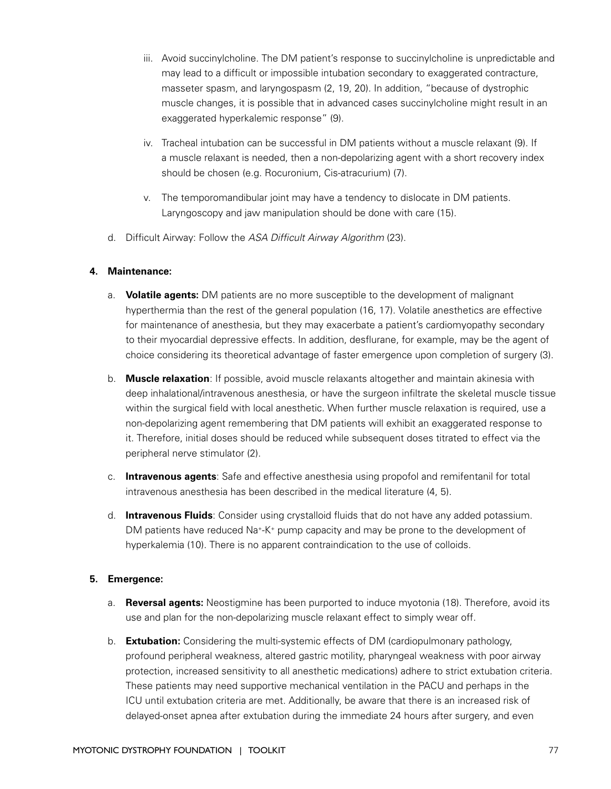- iii. Avoid succinylcholine. The DM patient's response to succinylcholine is unpredictable and may lead to a difficult or impossible intubation secondary to exaggerated contracture, masseter spasm, and laryngospasm (2, 19, 20). In addition, "because of dystrophic muscle changes, it is possible that in advanced cases succinylcholine might result in an exaggerated hyperkalemic response" (9).
- iv. Tracheal intubation can be successful in DM patients without a muscle relaxant (9). If a muscle relaxant is needed, then a non-depolarizing agent with a short recovery index should be chosen (e.g. Rocuronium, Cis-atracurium) (7).
- v. The temporomandibular joint may have a tendency to dislocate in DM patients. Laryngoscopy and jaw manipulation should be done with care (15).
- d. Difficult Airway: Follow the ASA Difficult Airway Algorithm (23).

#### **4. Maintenance:**

- a. **Volatile agents:** DM patients are no more susceptible to the development of malignant hyperthermia than the rest of the general population (16, 17). Volatile anesthetics are effective for maintenance of anesthesia, but they may exacerbate a patient's cardiomyopathy secondary to their myocardial depressive effects. In addition, desflurane, for example, may be the agent of choice considering its theoretical advantage of faster emergence upon completion of surgery (3).
- b. **Muscle relaxation**: If possible, avoid muscle relaxants altogether and maintain akinesia with deep inhalational/intravenous anesthesia, or have the surgeon infiltrate the skeletal muscle tissue within the surgical field with local anesthetic. When further muscle relaxation is required, use a non-depolarizing agent remembering that DM patients will exhibit an exaggerated response to it. Therefore, initial doses should be reduced while subsequent doses titrated to effect via the peripheral nerve stimulator (2).
- c. **Intravenous agents**: Safe and effective anesthesia using propofol and remifentanil for total intravenous anesthesia has been described in the medical literature (4, 5).
- d. **Intravenous Fluids**: Consider using crystalloid fluids that do not have any added potassium. DM patients have reduced  $\text{Na}^+K^+$  pump capacity and may be prone to the development of hyperkalemia (10). There is no apparent contraindication to the use of colloids.

#### **5. Emergence:**

- a. **Reversal agents:** Neostigmine has been purported to induce myotonia (18). Therefore, avoid its use and plan for the non-depolarizing muscle relaxant effect to simply wear off.
- b. **Extubation:** Considering the multi-systemic effects of DM (cardiopulmonary pathology, profound peripheral weakness, altered gastric motility, pharyngeal weakness with poor airway protection, increased sensitivity to all anesthetic medications) adhere to strict extubation criteria. These patients may need supportive mechanical ventilation in the PACU and perhaps in the ICU until extubation criteria are met. Additionally, be aware that there is an increased risk of delayed-onset apnea after extubation during the immediate 24 hours after surgery, and even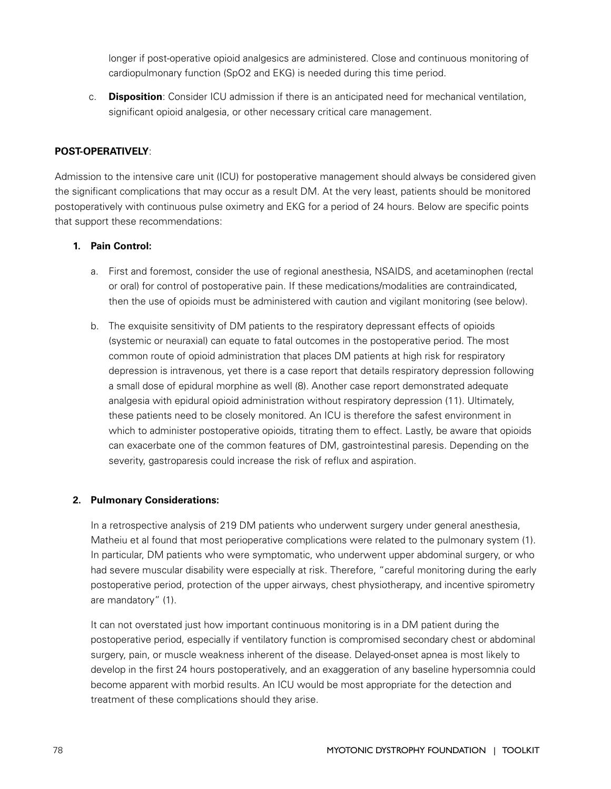longer if post-operative opioid analgesics are administered. Close and continuous monitoring of cardiopulmonary function (SpO2 and EKG) is needed during this time period.

c. **Disposition**: Consider ICU admission if there is an anticipated need for mechanical ventilation, significant opioid analgesia, or other necessary critical care management.

# **POST-OPERATIVELY**:

Admission to the intensive care unit (ICU) for postoperative management should always be considered given the significant complications that may occur as a result DM. At the very least, patients should be monitored postoperatively with continuous pulse oximetry and EKG for a period of 24 hours. Below are specific points that support these recommendations:

# **1. Pain Control:**

- a. First and foremost, consider the use of regional anesthesia, NSAIDS, and acetaminophen (rectal or oral) for control of postoperative pain. If these medications/modalities are contraindicated, then the use of opioids must be administered with caution and vigilant monitoring (see below).
- b. The exquisite sensitivity of DM patients to the respiratory depressant effects of opioids (systemic or neuraxial) can equate to fatal outcomes in the postoperative period. The most common route of opioid administration that places DM patients at high risk for respiratory depression is intravenous, yet there is a case report that details respiratory depression following a small dose of epidural morphine as well (8). Another case report demonstrated adequate analgesia with epidural opioid administration without respiratory depression (11). Ultimately, these patients need to be closely monitored. An ICU is therefore the safest environment in which to administer postoperative opioids, titrating them to effect. Lastly, be aware that opioids can exacerbate one of the common features of DM, gastrointestinal paresis. Depending on the severity, gastroparesis could increase the risk of reflux and aspiration.

# **2. Pulmonary Considerations:**

In a retrospective analysis of 219 DM patients who underwent surgery under general anesthesia, Matheiu et al found that most perioperative complications were related to the pulmonary system (1). In particular, DM patients who were symptomatic, who underwent upper abdominal surgery, or who had severe muscular disability were especially at risk. Therefore, "careful monitoring during the early postoperative period, protection of the upper airways, chest physiotherapy, and incentive spirometry are mandatory" (1).

It can not overstated just how important continuous monitoring is in a DM patient during the postoperative period, especially if ventilatory function is compromised secondary chest or abdominal surgery, pain, or muscle weakness inherent of the disease. Delayed-onset apnea is most likely to develop in the first 24 hours postoperatively, and an exaggeration of any baseline hypersomnia could become apparent with morbid results. An ICU would be most appropriate for the detection and treatment of these complications should they arise.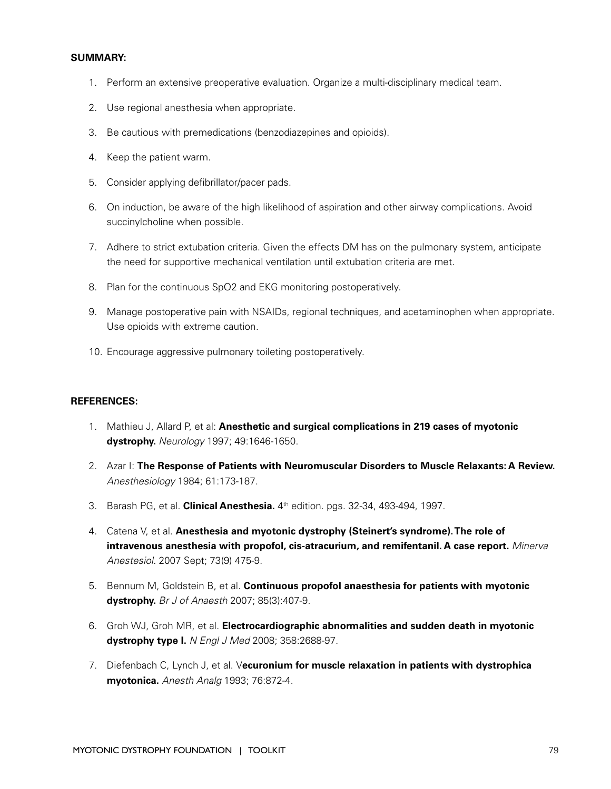#### **SUMMARY:**

- 1. Perform an extensive preoperative evaluation. Organize a multi-disciplinary medical team.
- 2. Use regional anesthesia when appropriate.
- 3. Be cautious with premedications (benzodiazepines and opioids).
- 4. Keep the patient warm.
- 5. Consider applying defibrillator/pacer pads.
- 6. On induction, be aware of the high likelihood of aspiration and other airway complications. Avoid succinylcholine when possible.
- 7. Adhere to strict extubation criteria. Given the effects DM has on the pulmonary system, anticipate the need for supportive mechanical ventilation until extubation criteria are met.
- 8. Plan for the continuous SpO2 and EKG monitoring postoperatively.
- 9. Manage postoperative pain with NSAIDs, regional techniques, and acetaminophen when appropriate. Use opioids with extreme caution.
- 10. Encourage aggressive pulmonary toileting postoperatively.

#### **REFERENCES:**

- 1. Mathieu J, Allard P, et al: **Anesthetic and surgical complications in 219 cases of myotonic dystrophy.** Neurology 1997; 49:1646-1650.
- 2. Azar I: **The Response of Patients with Neuromuscular Disorders to Muscle Relaxants: A Review.** Anesthesiology 1984; 61:173-187.
- 3. Barash PG, et al. **Clinical Anesthesia.** 4th edition. pgs. 32-34, 493-494, 1997.
- 4. Catena V, et al. **Anesthesia and myotonic dystrophy (Steinert's syndrome). The role of intravenous anesthesia with propofol, cis-atracurium, and remifentanil. A case report.** Minerva Anestesiol. 2007 Sept; 73(9) 475-9.
- 5. Bennum M, Goldstein B, et al. **Continuous propofol anaesthesia for patients with myotonic dystrophy.** Br J of Anaesth 2007; 85(3):407-9.
- 6. Groh WJ, Groh MR, et al. **Electrocardiographic abnormalities and sudden death in myotonic dystrophy type I.** N Engl J Med 2008; 358:2688-97.
- 7. Diefenbach C, Lynch J, et al. V**ecuronium for muscle relaxation in patients with dystrophica myotonica.** Anesth Analg 1993; 76:872-4.